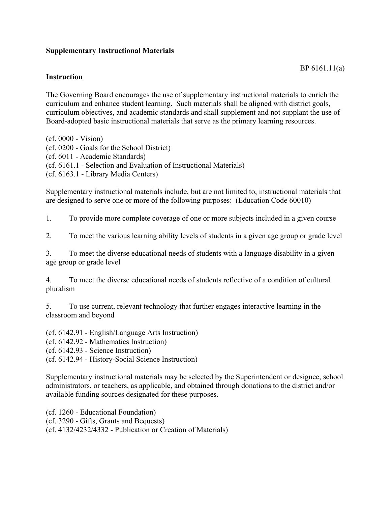## **Supplementary Instructional Materials**

## **Instruction**

The Governing Board encourages the use of supplementary instructional materials to enrich the curriculum and enhance student learning. Such materials shall be aligned with district goals, curriculum objectives, and academic standards and shall supplement and not supplant the use of Board-adopted basic instructional materials that serve as the primary learning resources.

(cf. 0000 - Vision) (cf. 0200 - Goals for the School District) (cf. 6011 - Academic Standards) (cf. 6161.1 - Selection and Evaluation of Instructional Materials) (cf. 6163.1 - Library Media Centers)

Supplementary instructional materials include, but are not limited to, instructional materials that are designed to serve one or more of the following purposes: (Education Code 60010)

1. To provide more complete coverage of one or more subjects included in a given course

2. To meet the various learning ability levels of students in a given age group or grade level

3. To meet the diverse educational needs of students with a language disability in a given age group or grade level

4. To meet the diverse educational needs of students reflective of a condition of cultural pluralism

5. To use current, relevant technology that further engages interactive learning in the classroom and beyond

(cf. 6142.91 - English/Language Arts Instruction)

(cf. 6142.92 - Mathematics Instruction)

(cf. 6142.93 - Science Instruction)

(cf. 6142.94 - History-Social Science Instruction)

Supplementary instructional materials may be selected by the Superintendent or designee, school administrators, or teachers, as applicable, and obtained through donations to the district and/or available funding sources designated for these purposes.

(cf. 1260 - Educational Foundation)

(cf. 3290 - Gifts, Grants and Bequests)

(cf. 4132/4232/4332 - Publication or Creation of Materials)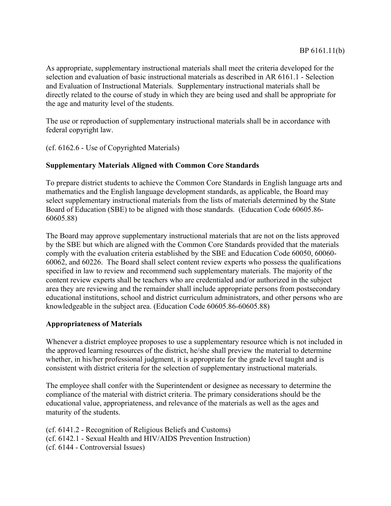As appropriate, supplementary instructional materials shall meet the criteria developed for the selection and evaluation of basic instructional materials as described in AR 6161.1 - Selection and Evaluation of Instructional Materials. Supplementary instructional materials shall be directly related to the course of study in which they are being used and shall be appropriate for the age and maturity level of the students.

The use or reproduction of supplementary instructional materials shall be in accordance with federal copyright law.

(cf. 6162.6 - Use of Copyrighted Materials)

## **Supplementary Materials Aligned with Common Core Standards**

To prepare district students to achieve the Common Core Standards in English language arts and mathematics and the English language development standards, as applicable, the Board may select supplementary instructional materials from the lists of materials determined by the State Board of Education (SBE) to be aligned with those standards. (Education Code 60605.86- 60605.88)

The Board may approve supplementary instructional materials that are not on the lists approved by the SBE but which are aligned with the Common Core Standards provided that the materials comply with the evaluation criteria established by the SBE and Education Code 60050, 60060- 60062, and 60226. The Board shall select content review experts who possess the qualifications specified in law to review and recommend such supplementary materials. The majority of the content review experts shall be teachers who are credentialed and/or authorized in the subject area they are reviewing and the remainder shall include appropriate persons from postsecondary educational institutions, school and district curriculum administrators, and other persons who are knowledgeable in the subject area. (Education Code 60605.86-60605.88)

## **Appropriateness of Materials**

Whenever a district employee proposes to use a supplementary resource which is not included in the approved learning resources of the district, he/she shall preview the material to determine whether, in his/her professional judgment, it is appropriate for the grade level taught and is consistent with district criteria for the selection of supplementary instructional materials.

The employee shall confer with the Superintendent or designee as necessary to determine the compliance of the material with district criteria. The primary considerations should be the educational value, appropriateness, and relevance of the materials as well as the ages and maturity of the students.

(cf. 6141.2 - Recognition of Religious Beliefs and Customs) (cf. 6142.1 - Sexual Health and HIV/AIDS Prevention Instruction) (cf. 6144 - Controversial Issues)